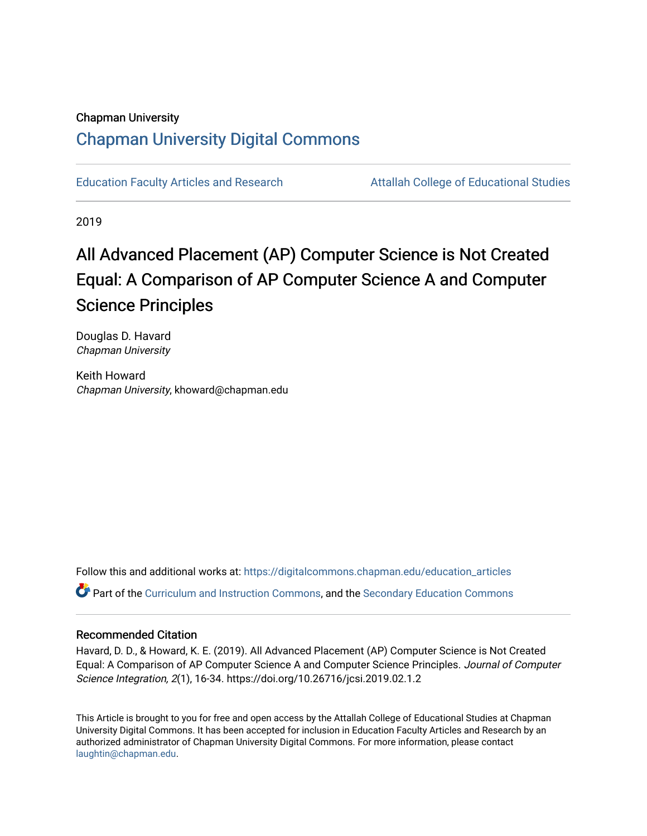# Chapman University [Chapman University Digital Commons](https://digitalcommons.chapman.edu/)

[Education Faculty Articles and Research](https://digitalcommons.chapman.edu/education_articles) [Attallah College of Educational Studies](https://digitalcommons.chapman.edu/ces) 

2019

# All Advanced Placement (AP) Computer Science is Not Created Equal: A Comparison of AP Computer Science A and Computer Science Principles

Douglas D. Havard Chapman University

Keith Howard Chapman University, khoward@chapman.edu

Follow this and additional works at: [https://digitalcommons.chapman.edu/education\\_articles](https://digitalcommons.chapman.edu/education_articles?utm_source=digitalcommons.chapman.edu%2Feducation_articles%2F227&utm_medium=PDF&utm_campaign=PDFCoverPages) Part of the [Curriculum and Instruction Commons,](http://network.bepress.com/hgg/discipline/786?utm_source=digitalcommons.chapman.edu%2Feducation_articles%2F227&utm_medium=PDF&utm_campaign=PDFCoverPages) and the [Secondary Education Commons](http://network.bepress.com/hgg/discipline/1382?utm_source=digitalcommons.chapman.edu%2Feducation_articles%2F227&utm_medium=PDF&utm_campaign=PDFCoverPages)

## Recommended Citation

Havard, D. D., & Howard, K. E. (2019). All Advanced Placement (AP) Computer Science is Not Created Equal: A Comparison of AP Computer Science A and Computer Science Principles. Journal of Computer Science Integration, 2(1), 16-34. https://doi.org/10.26716/jcsi.2019.02.1.2

This Article is brought to you for free and open access by the Attallah College of Educational Studies at Chapman University Digital Commons. It has been accepted for inclusion in Education Faculty Articles and Research by an authorized administrator of Chapman University Digital Commons. For more information, please contact [laughtin@chapman.edu.](mailto:laughtin@chapman.edu)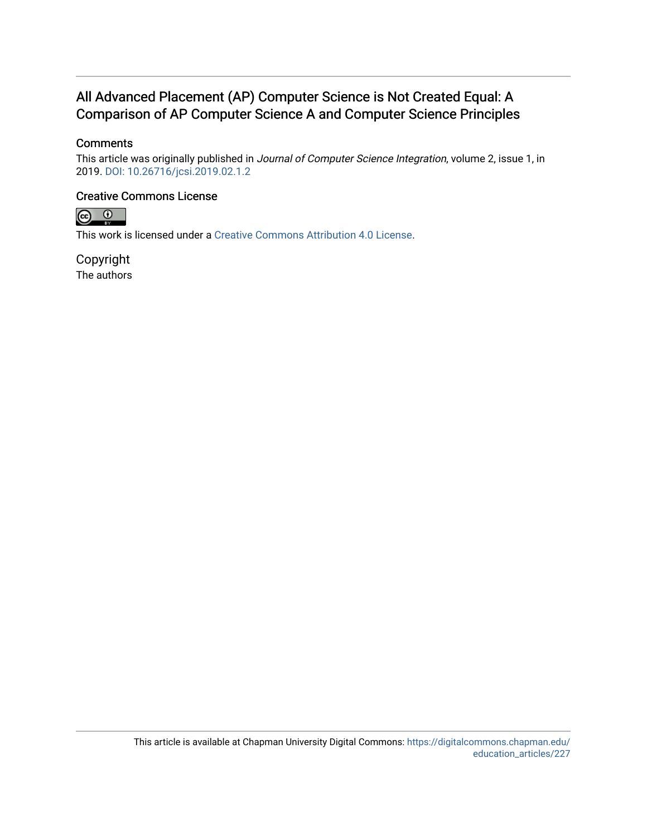# All Advanced Placement (AP) Computer Science is Not Created Equal: A Comparison of AP Computer Science A and Computer Science Principles

## **Comments**

This article was originally published in Journal of Computer Science Integration, volume 2, issue 1, in 2019. [DOI: 10.26716/jcsi.2019.02.1.2](https://doi.org/10.26716/jcsi.2019.02.1.2)

### Creative Commons License



This work is licensed under a [Creative Commons Attribution 4.0 License](https://creativecommons.org/licenses/by/4.0/).

Copyright The authors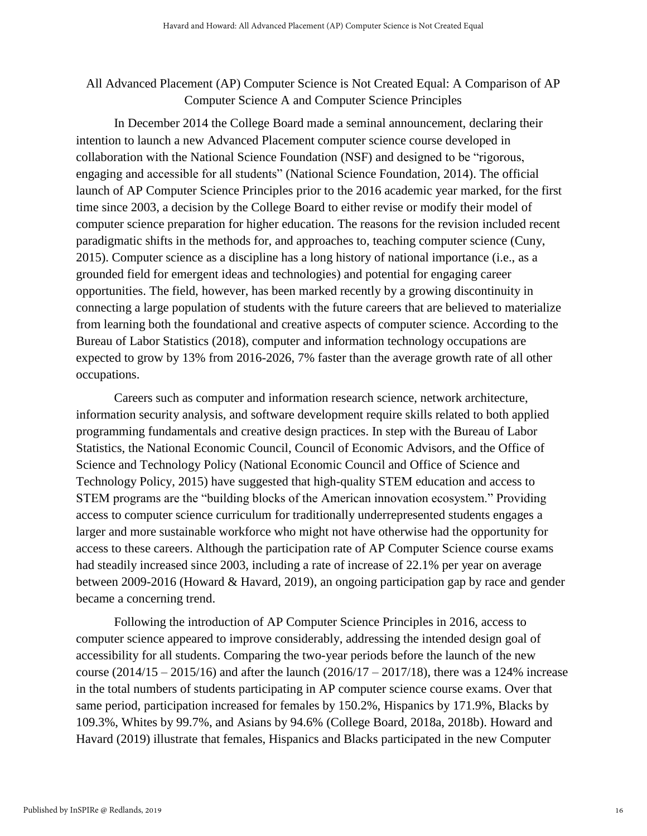# All Advanced Placement (AP) Computer Science is Not Created Equal: A Comparison of AP Computer Science A and Computer Science Principles

In December 2014 the College Board made a seminal announcement, declaring their intention to launch a new Advanced Placement computer science course developed in collaboration with the National Science Foundation (NSF) and designed to be "rigorous, engaging and accessible for all students" (National Science Foundation, 2014). The official launch of AP Computer Science Principles prior to the 2016 academic year marked, for the first time since 2003, a decision by the College Board to either revise or modify their model of computer science preparation for higher education. The reasons for the revision included recent paradigmatic shifts in the methods for, and approaches to, teaching computer science (Cuny, 2015). Computer science as a discipline has a long history of national importance (i.e., as a grounded field for emergent ideas and technologies) and potential for engaging career opportunities. The field, however, has been marked recently by a growing discontinuity in connecting a large population of students with the future careers that are believed to materialize from learning both the foundational and creative aspects of computer science. According to the Bureau of Labor Statistics (2018), computer and information technology occupations are expected to grow by 13% from 2016-2026, 7% faster than the average growth rate of all other occupations.

Careers such as computer and information research science, network architecture, information security analysis, and software development require skills related to both applied programming fundamentals and creative design practices. In step with the Bureau of Labor Statistics, the National Economic Council, Council of Economic Advisors, and the Office of Science and Technology Policy (National Economic Council and Office of Science and Technology Policy, 2015) have suggested that high-quality STEM education and access to STEM programs are the "building blocks of the American innovation ecosystem." Providing access to computer science curriculum for traditionally underrepresented students engages a larger and more sustainable workforce who might not have otherwise had the opportunity for access to these careers. Although the participation rate of AP Computer Science course exams had steadily increased since 2003, including a rate of increase of 22.1% per year on average between 2009-2016 (Howard & Havard, 2019), an ongoing participation gap by race and gender became a concerning trend.

Following the introduction of AP Computer Science Principles in 2016, access to computer science appeared to improve considerably, addressing the intended design goal of accessibility for all students. Comparing the two-year periods before the launch of the new course (2014/15 – 2015/16) and after the launch (2016/17 – 2017/18), there was a 124% increase in the total numbers of students participating in AP computer science course exams. Over that same period, participation increased for females by 150.2%, Hispanics by 171.9%, Blacks by 109.3%, Whites by 99.7%, and Asians by 94.6% (College Board, 2018a, 2018b). Howard and Havard (2019) illustrate that females, Hispanics and Blacks participated in the new Computer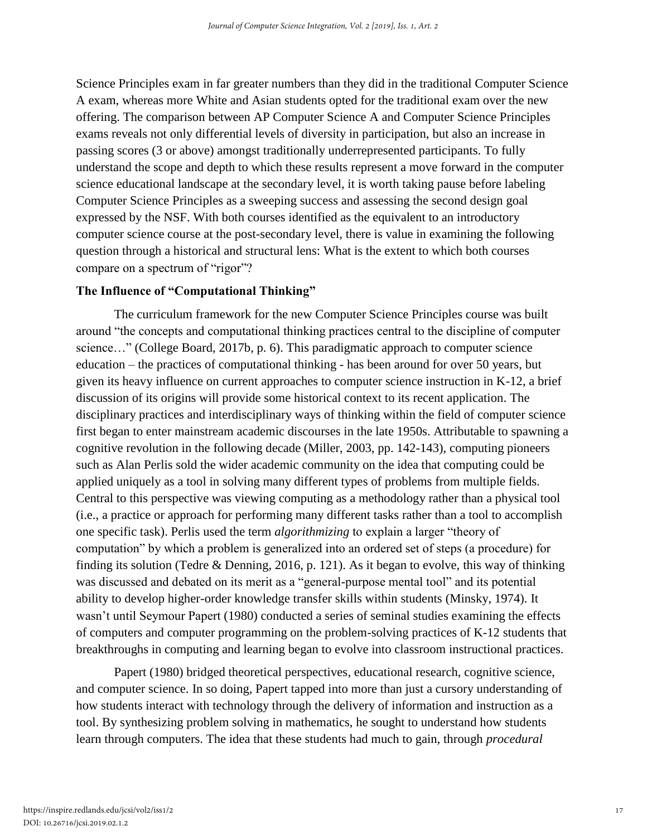Science Principles exam in far greater numbers than they did in the traditional Computer Science A exam, whereas more White and Asian students opted for the traditional exam over the new offering. The comparison between AP Computer Science A and Computer Science Principles exams reveals not only differential levels of diversity in participation, but also an increase in passing scores (3 or above) amongst traditionally underrepresented participants. To fully understand the scope and depth to which these results represent a move forward in the computer science educational landscape at the secondary level, it is worth taking pause before labeling Computer Science Principles as a sweeping success and assessing the second design goal expressed by the NSF. With both courses identified as the equivalent to an introductory computer science course at the post-secondary level, there is value in examining the following question through a historical and structural lens: What is the extent to which both courses compare on a spectrum of "rigor"?

#### **The Influence of "Computational Thinking"**

 The curriculum framework for the new Computer Science Principles course was built around "the concepts and computational thinking practices central to the discipline of computer science…" (College Board, 2017b, p. 6). This paradigmatic approach to computer science education – the practices of computational thinking - has been around for over 50 years, but given its heavy influence on current approaches to computer science instruction in K-12, a brief discussion of its origins will provide some historical context to its recent application. The disciplinary practices and interdisciplinary ways of thinking within the field of computer science first began to enter mainstream academic discourses in the late 1950s. Attributable to spawning a cognitive revolution in the following decade (Miller, 2003, pp. 142-143), computing pioneers such as Alan Perlis sold the wider academic community on the idea that computing could be applied uniquely as a tool in solving many different types of problems from multiple fields. Central to this perspective was viewing computing as a methodology rather than a physical tool (i.e., a practice or approach for performing many different tasks rather than a tool to accomplish one specific task). Perlis used the term *algorithmizing* to explain a larger "theory of computation" by which a problem is generalized into an ordered set of steps (a procedure) for finding its solution (Tedre & Denning, 2016, p. 121). As it began to evolve, this way of thinking was discussed and debated on its merit as a "general-purpose mental tool" and its potential ability to develop higher-order knowledge transfer skills within students (Minsky, 1974). It wasn't until Seymour Papert (1980) conducted a series of seminal studies examining the effects of computers and computer programming on the problem-solving practices of K-12 students that breakthroughs in computing and learning began to evolve into classroom instructional practices.

Papert (1980) bridged theoretical perspectives, educational research, cognitive science, and computer science. In so doing, Papert tapped into more than just a cursory understanding of how students interact with technology through the delivery of information and instruction as a tool. By synthesizing problem solving in mathematics, he sought to understand how students learn through computers. The idea that these students had much to gain, through *procedural*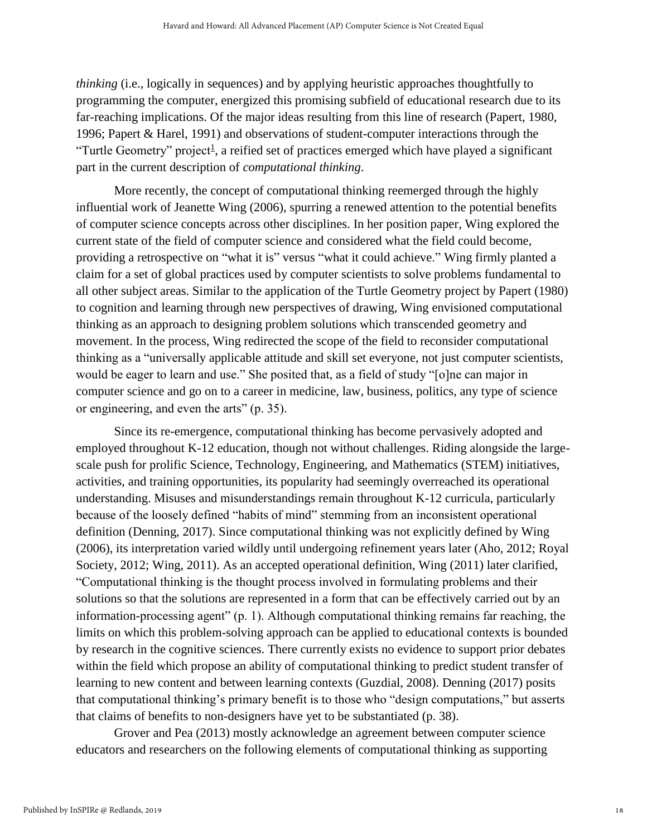*thinking* (i.e., logically in sequences) and by applying heuristic approaches thoughtfully to programming the computer, energized this promising subfield of educational research due to its far-reaching implications. Of the major ideas resulting from this line of research (Papert, 1980, 1996; Papert & Harel, 1991) and observations of student-computer interactions through the "Turtle Geometry" project<sup>1</sup>, a reified set of practices emerged which have played a significant part in the current description of *computational thinking*.

More recently, the concept of computational thinking reemerged through the highly influential work of Jeanette Wing (2006), spurring a renewed attention to the potential benefits of computer science concepts across other disciplines. In her position paper, Wing explored the current state of the field of computer science and considered what the field could become, providing a retrospective on "what it is" versus "what it could achieve." Wing firmly planted a claim for a set of global practices used by computer scientists to solve problems fundamental to all other subject areas. Similar to the application of the Turtle Geometry project by Papert (1980) to cognition and learning through new perspectives of drawing, Wing envisioned computational thinking as an approach to designing problem solutions which transcended geometry and movement. In the process, Wing redirected the scope of the field to reconsider computational thinking as a "universally applicable attitude and skill set everyone, not just computer scientists, would be eager to learn and use." She posited that, as a field of study "[o]ne can major in computer science and go on to a career in medicine, law, business, politics, any type of science or engineering, and even the arts" (p. 35).

Since its re-emergence, computational thinking has become pervasively adopted and employed throughout K-12 education, though not without challenges. Riding alongside the largescale push for prolific Science, Technology, Engineering, and Mathematics (STEM) initiatives, activities, and training opportunities, its popularity had seemingly overreached its operational understanding. Misuses and misunderstandings remain throughout K-12 curricula, particularly because of the loosely defined "habits of mind" stemming from an inconsistent operational definition (Denning, 2017). Since computational thinking was not explicitly defined by Wing (2006), its interpretation varied wildly until undergoing refinement years later (Aho, 2012; Royal Society, 2012; Wing, 2011). As an accepted operational definition, Wing (2011) later clarified, "Computational thinking is the thought process involved in formulating problems and their solutions so that the solutions are represented in a form that can be effectively carried out by an information-processing agent" (p. 1). Although computational thinking remains far reaching, the limits on which this problem-solving approach can be applied to educational contexts is bounded by research in the cognitive sciences. There currently exists no evidence to support prior debates within the field which propose an ability of computational thinking to predict student transfer of learning to new content and between learning contexts (Guzdial, 2008). Denning (2017) posits that computational thinking's primary benefit is to those who "design computations," but asserts that claims of benefits to non-designers have yet to be substantiated (p. 38).

Grover and Pea (2013) mostly acknowledge an agreement between computer science educators and researchers on the following elements of computational thinking as supporting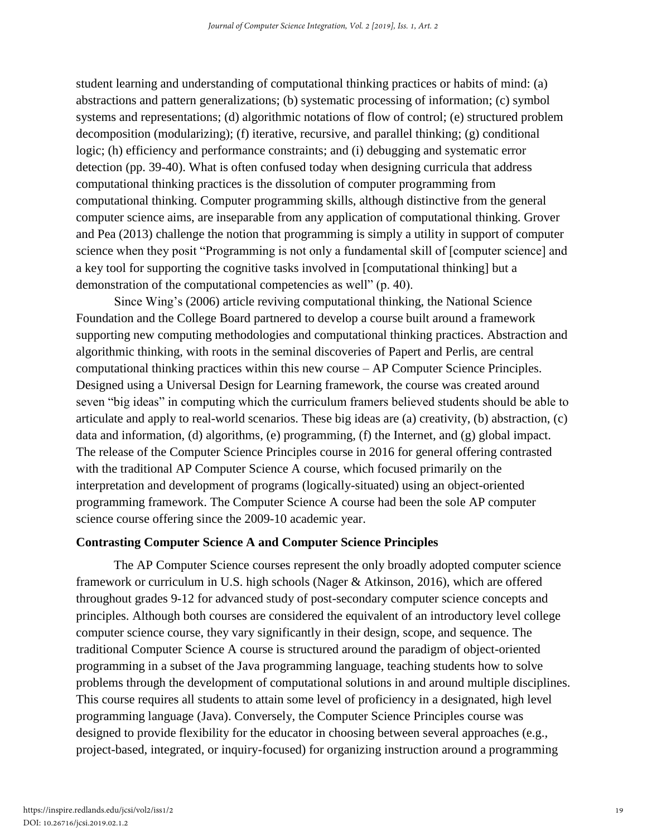student learning and understanding of computational thinking practices or habits of mind: (a) abstractions and pattern generalizations; (b) systematic processing of information; (c) symbol systems and representations; (d) algorithmic notations of flow of control; (e) structured problem decomposition (modularizing); (f) iterative, recursive, and parallel thinking; (g) conditional logic; (h) efficiency and performance constraints; and (i) debugging and systematic error detection (pp. 39-40). What is often confused today when designing curricula that address computational thinking practices is the dissolution of computer programming from computational thinking. Computer programming skills, although distinctive from the general computer science aims, are inseparable from any application of computational thinking. Grover and Pea (2013) challenge the notion that programming is simply a utility in support of computer science when they posit "Programming is not only a fundamental skill of [computer science] and a key tool for supporting the cognitive tasks involved in [computational thinking] but a demonstration of the computational competencies as well" (p. 40).

Since Wing's (2006) article reviving computational thinking, the National Science Foundation and the College Board partnered to develop a course built around a framework supporting new computing methodologies and computational thinking practices. Abstraction and algorithmic thinking, with roots in the seminal discoveries of Papert and Perlis, are central computational thinking practices within this new course – AP Computer Science Principles. Designed using a Universal Design for Learning framework, the course was created around seven "big ideas" in computing which the curriculum framers believed students should be able to articulate and apply to real-world scenarios. These big ideas are (a) creativity, (b) abstraction, (c) data and information, (d) algorithms, (e) programming, (f) the Internet, and (g) global impact. The release of the Computer Science Principles course in 2016 for general offering contrasted with the traditional AP Computer Science A course, which focused primarily on the interpretation and development of programs (logically-situated) using an object-oriented programming framework. The Computer Science A course had been the sole AP computer science course offering since the 2009-10 academic year.

#### **Contrasting Computer Science A and Computer Science Principles**

 The AP Computer Science courses represent the only broadly adopted computer science framework or curriculum in U.S. high schools (Nager & Atkinson, 2016), which are offered throughout grades 9-12 for advanced study of post-secondary computer science concepts and principles. Although both courses are considered the equivalent of an introductory level college computer science course, they vary significantly in their design, scope, and sequence. The traditional Computer Science A course is structured around the paradigm of object-oriented programming in a subset of the Java programming language, teaching students how to solve problems through the development of computational solutions in and around multiple disciplines. This course requires all students to attain some level of proficiency in a designated, high level programming language (Java). Conversely, the Computer Science Principles course was designed to provide flexibility for the educator in choosing between several approaches (e.g., project-based, integrated, or inquiry-focused) for organizing instruction around a programming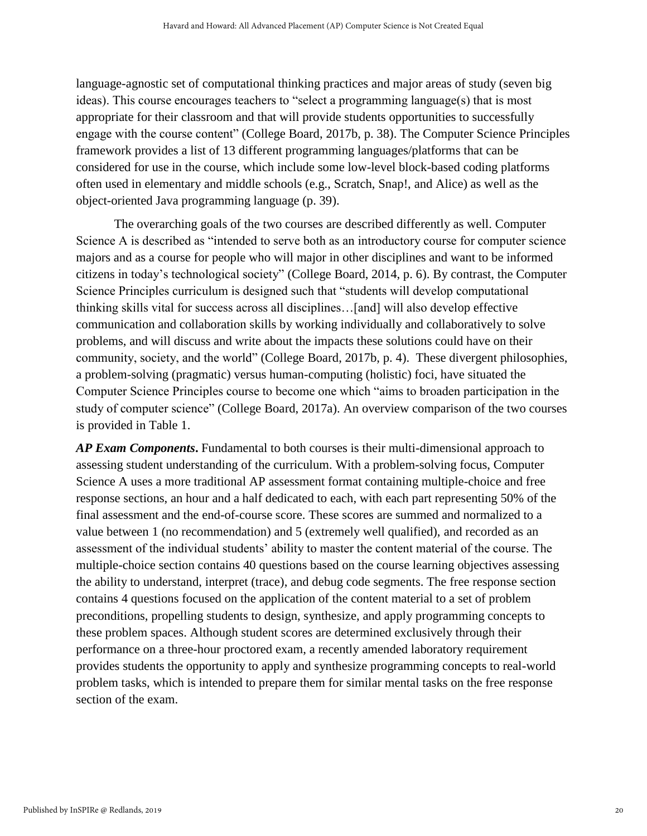language-agnostic set of computational thinking practices and major areas of study (seven big ideas). This course encourages teachers to "select a programming language(s) that is most appropriate for their classroom and that will provide students opportunities to successfully engage with the course content" (College Board, 2017b, p. 38). The Computer Science Principles framework provides a list of 13 different programming languages/platforms that can be considered for use in the course, which include some low-level block-based coding platforms often used in elementary and middle schools (e.g., Scratch, Snap!, and Alice) as well as the object-oriented Java programming language (p. 39).

The overarching goals of the two courses are described differently as well. Computer Science A is described as "intended to serve both as an introductory course for computer science majors and as a course for people who will major in other disciplines and want to be informed citizens in today's technological society" (College Board, 2014, p. 6). By contrast, the Computer Science Principles curriculum is designed such that "students will develop computational thinking skills vital for success across all disciplines…[and] will also develop effective communication and collaboration skills by working individually and collaboratively to solve problems, and will discuss and write about the impacts these solutions could have on their community, society, and the world" (College Board, 2017b, p. 4). These divergent philosophies, a problem-solving (pragmatic) versus human-computing (holistic) foci, have situated the Computer Science Principles course to become one which "aims to broaden participation in the study of computer science" (College Board, 2017a). An overview comparison of the two courses is provided in Table 1.

*AP Exam Components***.** Fundamental to both courses is their multi-dimensional approach to assessing student understanding of the curriculum. With a problem-solving focus, Computer Science A uses a more traditional AP assessment format containing multiple-choice and free response sections, an hour and a half dedicated to each, with each part representing 50% of the final assessment and the end-of-course score. These scores are summed and normalized to a value between 1 (no recommendation) and 5 (extremely well qualified), and recorded as an assessment of the individual students' ability to master the content material of the course. The multiple-choice section contains 40 questions based on the course learning objectives assessing the ability to understand, interpret (trace), and debug code segments. The free response section contains 4 questions focused on the application of the content material to a set of problem preconditions, propelling students to design, synthesize, and apply programming concepts to these problem spaces. Although student scores are determined exclusively through their performance on a three-hour proctored exam, a recently amended laboratory requirement provides students the opportunity to apply and synthesize programming concepts to real-world problem tasks, which is intended to prepare them for similar mental tasks on the free response section of the exam.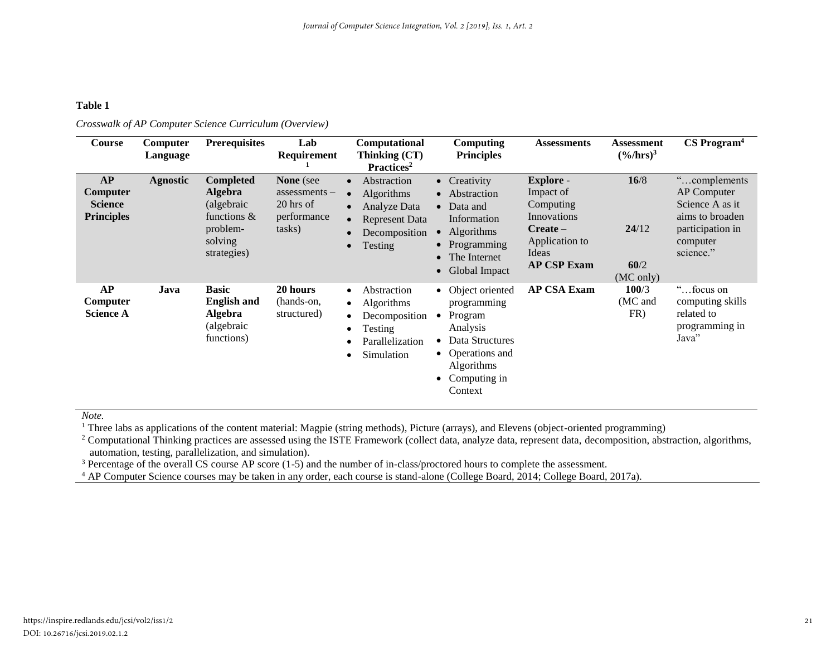#### **Table 1**

| Course                                                | Computer<br>Language | <b>Prerequisites</b>                                                                                      | Lab<br>Requirement                                                        | <b>Computational</b><br>Thinking (CT)<br>Practices <sup>2</sup>                                                                        | Computing<br><b>Principles</b>                                                                                                                           | <b>Assessments</b>                                                                                                       | <b>Assessment</b><br>$(\frac{9}{6}$ /hrs $)^3$ | $CS$ Program <sup>4</sup>                                                                                       |
|-------------------------------------------------------|----------------------|-----------------------------------------------------------------------------------------------------------|---------------------------------------------------------------------------|----------------------------------------------------------------------------------------------------------------------------------------|----------------------------------------------------------------------------------------------------------------------------------------------------------|--------------------------------------------------------------------------------------------------------------------------|------------------------------------------------|-----------------------------------------------------------------------------------------------------------------|
| AP<br>Computer<br><b>Science</b><br><b>Principles</b> | <b>Agnostic</b>      | <b>Completed</b><br><b>Algebra</b><br>(algebraic)<br>functions $\&$<br>problem-<br>solving<br>strategies) | <b>None</b> (see<br>$assessments -$<br>20 hrs of<br>performance<br>tasks) | Abstraction<br>$\bullet$<br><b>Algorithms</b><br>Analyze Data<br><b>Represent Data</b><br>Decomposition<br><b>Testing</b><br>$\bullet$ | • Creativity<br>• Abstraction<br>$\bullet$ Data and<br>Information<br><b>Algorithms</b><br>• Programming<br>The Internet<br>$\bullet$<br>• Global Impact | <b>Explore</b> -<br>Impact of<br>Computing<br>Innovations<br>$Create -$<br>Application to<br>Ideas<br><b>AP CSP Exam</b> | 16/8<br>24/12<br>60/2<br>(MC only)             | "complements"<br>AP Computer<br>Science A as it<br>aims to broaden<br>participation in<br>computer<br>science." |
| AP<br>Computer<br><b>Science A</b>                    | Java                 | <b>Basic</b><br><b>English and</b><br><b>Algebra</b><br>(algebraic<br>functions)                          | 20 hours<br>(hands-on,<br>structured)                                     | Abstraction<br>$\bullet$<br>Algorithms<br>$\bullet$<br>Decomposition<br>Testing<br>Parallelization<br>Simulation                       | • Object oriented<br>programming<br>Program<br>Analysis<br>Data Structures<br>• Operations and<br><b>Algorithms</b><br>Computing in<br>Context           | <b>AP CSA Exam</b>                                                                                                       | 100/3<br>(MC and<br>FR)                        | "focus on<br>computing skills<br>related to<br>programming in<br>Java"                                          |

*Crosswalk of AP Computer Science Curriculum (Overview)*

*Note.* 

<sup>1</sup> Three labs as applications of the content material: Magpie (string methods), Picture (arrays), and Elevens (object-oriented programming)

<sup>2</sup> Computational Thinking practices are assessed using the ISTE Framework (collect data, analyze data, represent data, decomposition, abstraction, algorithms, automation, testing, parallelization, and simulation).

<sup>3</sup> Percentage of the overall CS course AP score (1-5) and the number of in-class/proctored hours to complete the assessment.

<sup>4</sup> AP Computer Science courses may be taken in any order, each course is stand-alone (College Board, 2014; College Board, 2017a).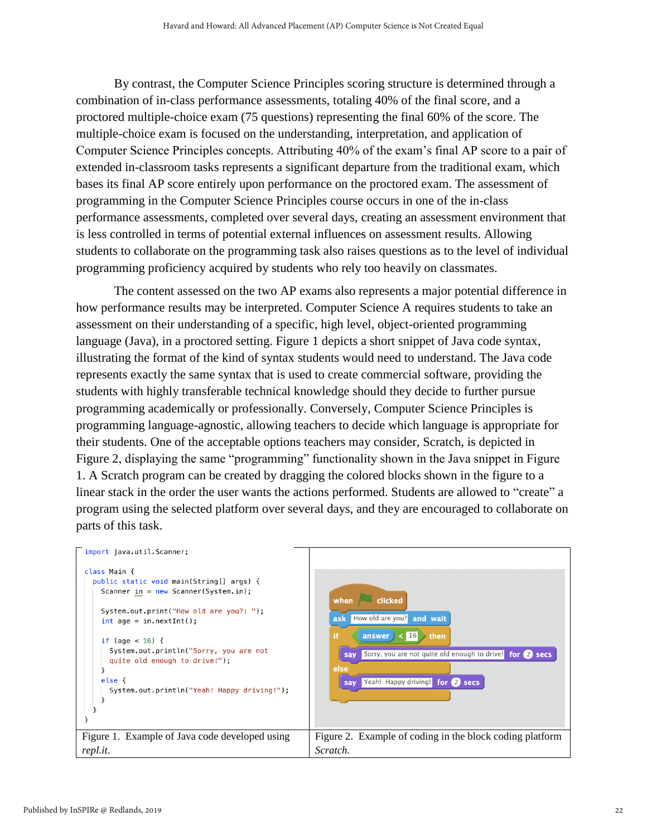By contrast, the Computer Science Principles scoring structure is determined through a combination of in-class performance assessments, totaling 40% of the final score, and a proctored multiple-choice exam (75 questions) representing the final 60% of the score. The multiple-choice exam is focused on the understanding, interpretation, and application of Computer Science Principles concepts. Attributing 40% of the exam's final AP score to a pair of extended in-classroom tasks represents a significant departure from the traditional exam, which bases its final AP score entirely upon performance on the proctored exam. The assessment of programming in the Computer Science Principles course occurs in one of the in-class performance assessments, completed over several days, creating an assessment environment that is less controlled in terms of potential external influences on assessment results. Allowing students to collaborate on the programming task also raises questions as to the level of individual programming proficiency acquired by students who rely too heavily on classmates.

The content assessed on the two AP exams also represents a major potential difference in how performance results may be interpreted. Computer Science A requires students to take an assessment on their understanding of a specific, high level, object-oriented programming language (Java), in a proctored setting. Figure 1 depicts a short snippet of Java code syntax, illustrating the format of the kind of syntax students would need to understand. The Java code represents exactly the same syntax that is used to create commercial software, providing the students with highly transferable technical knowledge should they decide to further pursue programming academically or professionally. Conversely, Computer Science Principles is programming language-agnostic, allowing teachers to decide which language is appropriate for their students. One of the acceptable options teachers may consider, Scratch, is depicted in Figure 2, displaying the same "programming" functionality shown in the Java snippet in Figure 1. A Scratch program can be created by dragging the colored blocks shown in the figure to a linear stack in the order the user wants the actions performed. Students are allowed to "create" a program using the selected platform over several days, and they are encouraged to collaborate on parts of this task.

| import java.util.Scanner;                                                                                                                                                                                                                                                                                                                           |                                                                                                                                                                                                                                |
|-----------------------------------------------------------------------------------------------------------------------------------------------------------------------------------------------------------------------------------------------------------------------------------------------------------------------------------------------------|--------------------------------------------------------------------------------------------------------------------------------------------------------------------------------------------------------------------------------|
| class Main {<br>public static void main(String[] args) {<br>Scanner $\text{in} = \text{new}$ Scanner(System.in);<br>System.out.print("How old are you?: ");<br>$int age = in.nextInt()$ ;<br>if (age $< 16$ ) {<br>System.out.println("Sorry, you are not<br>quite old enough to drive!");<br>else {<br>System.out.println("Yeah! Happy driving!"); | clicked<br>when<br>How old are you? and wait<br>ask<br>if.<br>$\lt$ 16<br>answer<br>$\rightarrow$ then<br>Sorry, you are not quite old enough to drive!<br>for 2 secs<br>say<br>else<br>Yeah! Happy driving! for 2 secs<br>sav |
| Figure 1. Example of Java code developed using                                                                                                                                                                                                                                                                                                      | Figure 2. Example of coding in the block coding platform                                                                                                                                                                       |
| repl.it.                                                                                                                                                                                                                                                                                                                                            | Scratch.                                                                                                                                                                                                                       |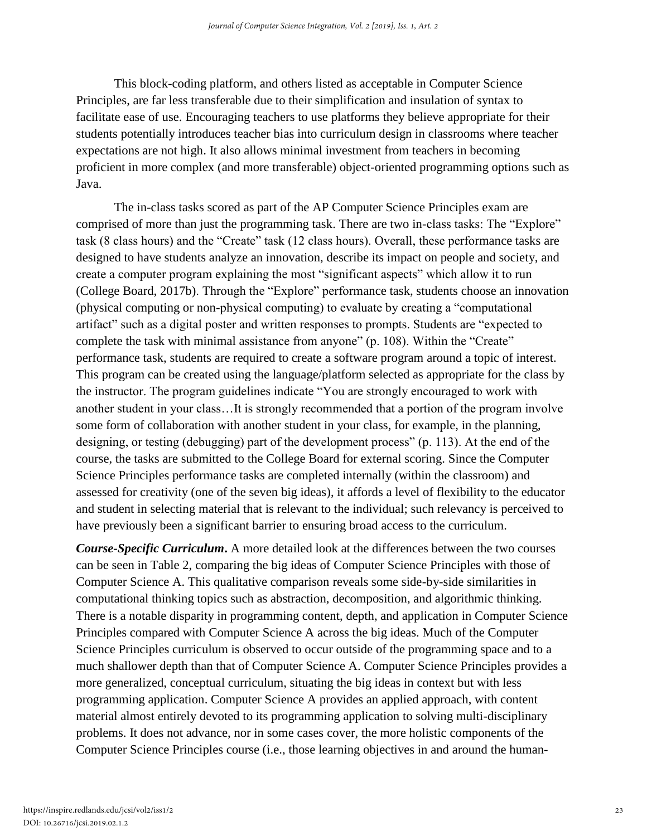This block-coding platform, and others listed as acceptable in Computer Science Principles, are far less transferable due to their simplification and insulation of syntax to facilitate ease of use. Encouraging teachers to use platforms they believe appropriate for their students potentially introduces teacher bias into curriculum design in classrooms where teacher expectations are not high. It also allows minimal investment from teachers in becoming proficient in more complex (and more transferable) object-oriented programming options such as Java.

The in-class tasks scored as part of the AP Computer Science Principles exam are comprised of more than just the programming task. There are two in-class tasks: The "Explore" task (8 class hours) and the "Create" task (12 class hours). Overall, these performance tasks are designed to have students analyze an innovation, describe its impact on people and society, and create a computer program explaining the most "significant aspects" which allow it to run (College Board, 2017b). Through the "Explore" performance task, students choose an innovation (physical computing or non-physical computing) to evaluate by creating a "computational artifact" such as a digital poster and written responses to prompts. Students are "expected to complete the task with minimal assistance from anyone" (p. 108). Within the "Create" performance task, students are required to create a software program around a topic of interest. This program can be created using the language/platform selected as appropriate for the class by the instructor. The program guidelines indicate "You are strongly encouraged to work with another student in your class…It is strongly recommended that a portion of the program involve some form of collaboration with another student in your class, for example, in the planning, designing, or testing (debugging) part of the development process" (p. 113). At the end of the course, the tasks are submitted to the College Board for external scoring. Since the Computer Science Principles performance tasks are completed internally (within the classroom) and assessed for creativity (one of the seven big ideas), it affords a level of flexibility to the educator and student in selecting material that is relevant to the individual; such relevancy is perceived to have previously been a significant barrier to ensuring broad access to the curriculum.

*Course-Specific Curriculum***.** A more detailed look at the differences between the two courses can be seen in Table 2, comparing the big ideas of Computer Science Principles with those of Computer Science A. This qualitative comparison reveals some side-by-side similarities in computational thinking topics such as abstraction, decomposition, and algorithmic thinking. There is a notable disparity in programming content, depth, and application in Computer Science Principles compared with Computer Science A across the big ideas. Much of the Computer Science Principles curriculum is observed to occur outside of the programming space and to a much shallower depth than that of Computer Science A. Computer Science Principles provides a more generalized, conceptual curriculum, situating the big ideas in context but with less programming application. Computer Science A provides an applied approach, with content material almost entirely devoted to its programming application to solving multi-disciplinary problems. It does not advance, nor in some cases cover, the more holistic components of the Computer Science Principles course (i.e., those learning objectives in and around the human-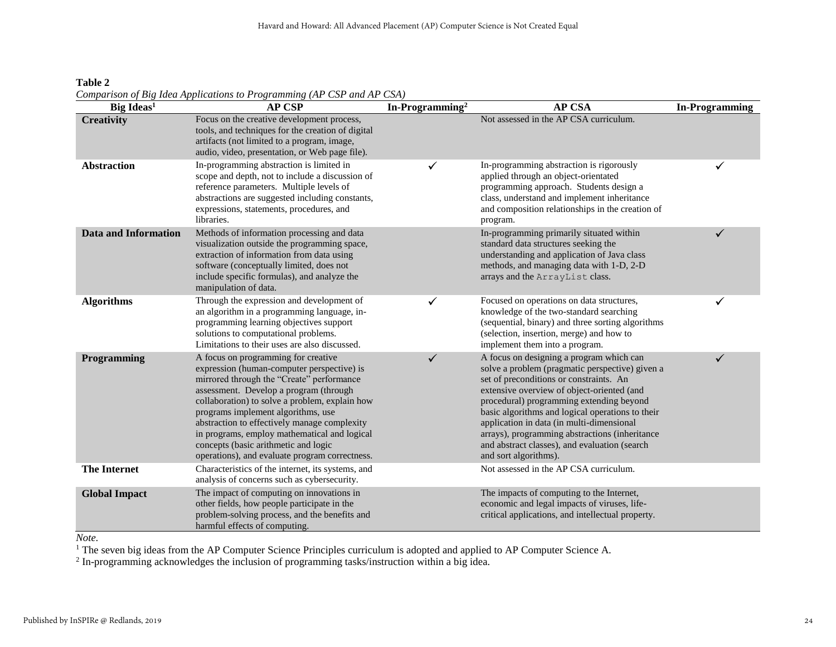**Table 2** *Comparison of Big Idea Applications to Programming (AP CSP and AP CSA)*

| Big Ideas <sup>1</sup>      | <b>AP CSP</b>                                                                                                                                                                                                                                                                                                                                                                                                                                              | In-Programming <sup>2</sup> | <b>AP CSA</b>                                                                                                                                                                                                                                                                                                                                                                                                                                                 | <b>In-Programming</b> |
|-----------------------------|------------------------------------------------------------------------------------------------------------------------------------------------------------------------------------------------------------------------------------------------------------------------------------------------------------------------------------------------------------------------------------------------------------------------------------------------------------|-----------------------------|---------------------------------------------------------------------------------------------------------------------------------------------------------------------------------------------------------------------------------------------------------------------------------------------------------------------------------------------------------------------------------------------------------------------------------------------------------------|-----------------------|
| <b>Creativity</b>           | Focus on the creative development process,<br>tools, and techniques for the creation of digital<br>artifacts (not limited to a program, image,<br>audio, video, presentation, or Web page file).                                                                                                                                                                                                                                                           |                             | Not assessed in the AP CSA curriculum.                                                                                                                                                                                                                                                                                                                                                                                                                        |                       |
| <b>Abstraction</b>          | In-programming abstraction is limited in<br>scope and depth, not to include a discussion of<br>reference parameters. Multiple levels of<br>abstractions are suggested including constants,<br>expressions, statements, procedures, and<br>libraries.                                                                                                                                                                                                       | ✓                           | In-programming abstraction is rigorously<br>applied through an object-orientated<br>programming approach. Students design a<br>class, understand and implement inheritance<br>and composition relationships in the creation of<br>program.                                                                                                                                                                                                                    | ✓                     |
| <b>Data and Information</b> | Methods of information processing and data<br>visualization outside the programming space,<br>extraction of information from data using<br>software (conceptually limited, does not<br>include specific formulas), and analyze the<br>manipulation of data.                                                                                                                                                                                                |                             | In-programming primarily situated within<br>standard data structures seeking the<br>understanding and application of Java class<br>methods, and managing data with 1-D, 2-D<br>arrays and the ArrayList class.                                                                                                                                                                                                                                                | ✓                     |
| <b>Algorithms</b>           | Through the expression and development of<br>an algorithm in a programming language, in-<br>programming learning objectives support<br>solutions to computational problems.<br>Limitations to their uses are also discussed.                                                                                                                                                                                                                               | ✓                           | Focused on operations on data structures,<br>knowledge of the two-standard searching<br>(sequential, binary) and three sorting algorithms<br>(selection, insertion, merge) and how to<br>implement them into a program.                                                                                                                                                                                                                                       | ✓                     |
| Programming                 | A focus on programming for creative<br>expression (human-computer perspective) is<br>mirrored through the "Create" performance<br>assessment. Develop a program (through<br>collaboration) to solve a problem, explain how<br>programs implement algorithms, use<br>abstraction to effectively manage complexity<br>in programs, employ mathematical and logical<br>concepts (basic arithmetic and logic<br>operations), and evaluate program correctness. | $\checkmark$                | A focus on designing a program which can<br>solve a problem (pragmatic perspective) given a<br>set of preconditions or constraints. An<br>extensive overview of object-oriented (and<br>procedural) programming extending beyond<br>basic algorithms and logical operations to their<br>application in data (in multi-dimensional<br>arrays), programming abstractions (inheritance<br>and abstract classes), and evaluation (search<br>and sort algorithms). | ✓                     |
| <b>The Internet</b>         | Characteristics of the internet, its systems, and<br>analysis of concerns such as cybersecurity.                                                                                                                                                                                                                                                                                                                                                           |                             | Not assessed in the AP CSA curriculum.                                                                                                                                                                                                                                                                                                                                                                                                                        |                       |
| <b>Global Impact</b>        | The impact of computing on innovations in<br>other fields, how people participate in the<br>problem-solving process, and the benefits and<br>harmful effects of computing.                                                                                                                                                                                                                                                                                 |                             | The impacts of computing to the Internet,<br>economic and legal impacts of viruses, life-<br>critical applications, and intellectual property.                                                                                                                                                                                                                                                                                                                |                       |

*Note.* 

<sup>1</sup> The seven big ideas from the AP Computer Science Principles curriculum is adopted and applied to AP Computer Science A.

<sup>2</sup> In-programming acknowledges the inclusion of programming tasks/instruction within a big idea.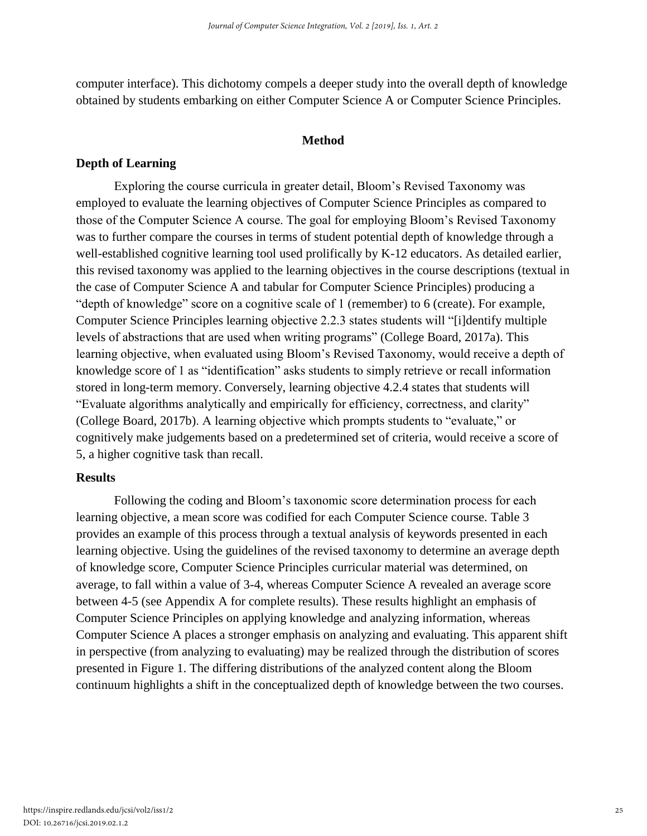computer interface). This dichotomy compels a deeper study into the overall depth of knowledge obtained by students embarking on either Computer Science A or Computer Science Principles.

#### **Method**

#### **Depth of Learning**

Exploring the course curricula in greater detail, Bloom's Revised Taxonomy was employed to evaluate the learning objectives of Computer Science Principles as compared to those of the Computer Science A course. The goal for employing Bloom's Revised Taxonomy was to further compare the courses in terms of student potential depth of knowledge through a well-established cognitive learning tool used prolifically by K-12 educators. As detailed earlier, this revised taxonomy was applied to the learning objectives in the course descriptions (textual in the case of Computer Science A and tabular for Computer Science Principles) producing a "depth of knowledge" score on a cognitive scale of 1 (remember) to 6 (create). For example, Computer Science Principles learning objective 2.2.3 states students will "[i]dentify multiple levels of abstractions that are used when writing programs" (College Board, 2017a). This learning objective, when evaluated using Bloom's Revised Taxonomy, would receive a depth of knowledge score of 1 as "identification" asks students to simply retrieve or recall information stored in long-term memory. Conversely, learning objective 4.2.4 states that students will "Evaluate algorithms analytically and empirically for efficiency, correctness, and clarity" (College Board, 2017b). A learning objective which prompts students to "evaluate," or cognitively make judgements based on a predetermined set of criteria, would receive a score of 5, a higher cognitive task than recall.

#### **Results**

Following the coding and Bloom's taxonomic score determination process for each learning objective, a mean score was codified for each Computer Science course. Table 3 provides an example of this process through a textual analysis of keywords presented in each learning objective. Using the guidelines of the revised taxonomy to determine an average depth of knowledge score, Computer Science Principles curricular material was determined, on average, to fall within a value of 3-4, whereas Computer Science A revealed an average score between 4-5 (see Appendix A for complete results). These results highlight an emphasis of Computer Science Principles on applying knowledge and analyzing information, whereas Computer Science A places a stronger emphasis on analyzing and evaluating. This apparent shift in perspective (from analyzing to evaluating) may be realized through the distribution of scores presented in Figure 1. The differing distributions of the analyzed content along the Bloom continuum highlights a shift in the conceptualized depth of knowledge between the two courses.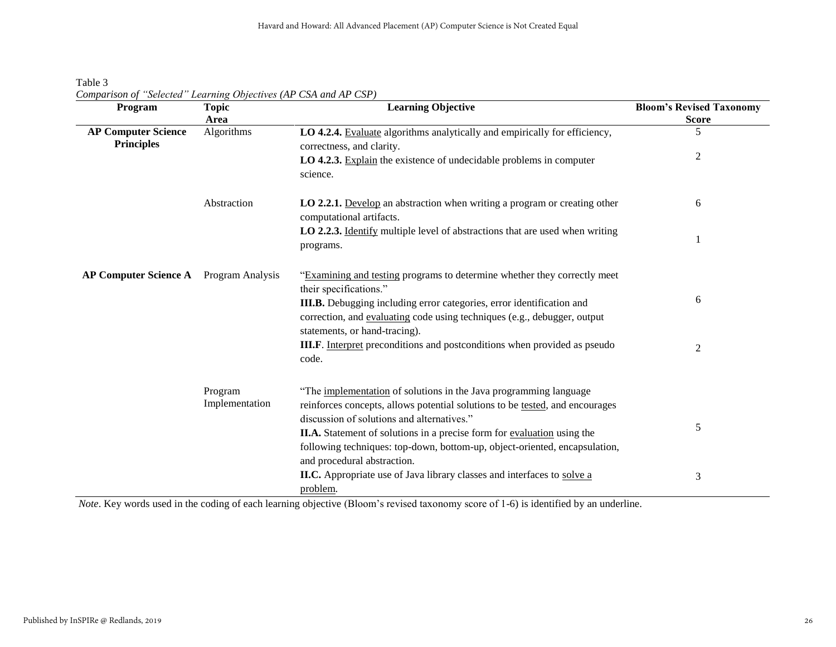Table 3 *Comparison of "Selected" Learning Objectives (AP CSA and AP CSP)*

| Program                                                       | <b>Topic</b><br>Area      | <b>Learning Objective</b>                                                                                                                                                                                                                                                                                                                                                                        | <b>Bloom's Revised Taxonomy</b><br><b>Score</b> |
|---------------------------------------------------------------|---------------------------|--------------------------------------------------------------------------------------------------------------------------------------------------------------------------------------------------------------------------------------------------------------------------------------------------------------------------------------------------------------------------------------------------|-------------------------------------------------|
| <b>AP Computer Science</b><br>Algorithms<br><b>Principles</b> |                           | LO 4.2.4. Evaluate algorithms analytically and empirically for efficiency,<br>correctness, and clarity.                                                                                                                                                                                                                                                                                          | 5                                               |
|                                                               |                           | LO 4.2.3. Explain the existence of undecidable problems in computer<br>science.                                                                                                                                                                                                                                                                                                                  | 2                                               |
|                                                               | Abstraction               | <b>LO 2.2.1.</b> Develop an abstraction when writing a program or creating other<br>computational artifacts.                                                                                                                                                                                                                                                                                     | 6                                               |
|                                                               |                           | LO 2.2.3. Identify multiple level of abstractions that are used when writing<br>programs.                                                                                                                                                                                                                                                                                                        |                                                 |
| <b>AP Computer Science A</b> Program Analysis                 |                           | "Examining and testing programs to determine whether they correctly meet<br>their specifications."<br>III.B. Debugging including error categories, error identification and<br>correction, and evaluating code using techniques (e.g., debugger, output<br>statements, or hand-tracing).<br><b>III.F.</b> Interpret preconditions and postconditions when provided as pseudo                     | 6<br>2                                          |
|                                                               | Program<br>Implementation | code.<br>"The implementation of solutions in the Java programming language<br>reinforces concepts, allows potential solutions to be tested, and encourages<br>discussion of solutions and alternatives."<br>II.A. Statement of solutions in a precise form for evaluation using the<br>following techniques: top-down, bottom-up, object-oriented, encapsulation,<br>and procedural abstraction. | 5                                               |
|                                                               |                           | II.C. Appropriate use of Java library classes and interfaces to solve a<br>problem.                                                                                                                                                                                                                                                                                                              | 3                                               |

*Note*. Key words used in the coding of each learning objective (Bloom's revised taxonomy score of 1-6) is identified by an underline.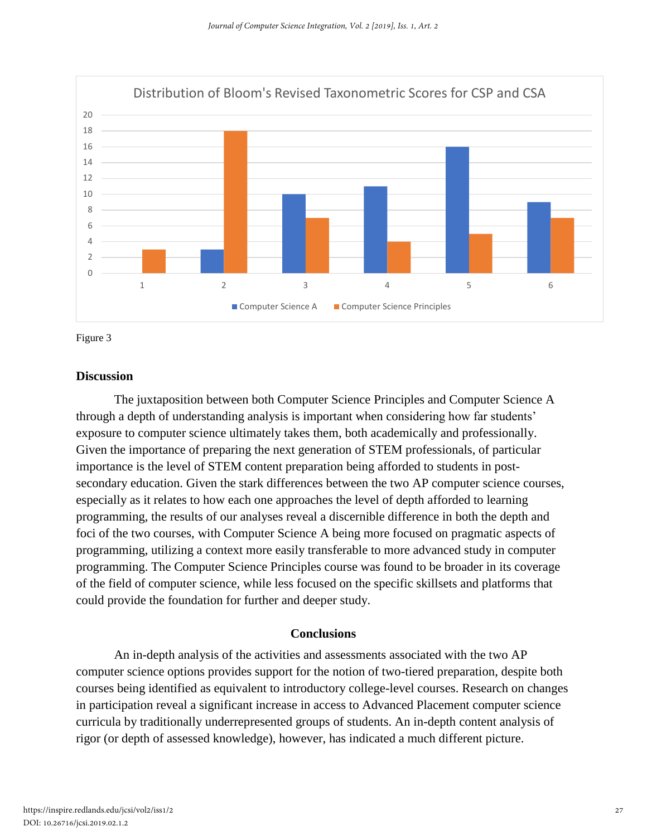

Figure 3

#### **Discussion**

The juxtaposition between both Computer Science Principles and Computer Science A through a depth of understanding analysis is important when considering how far students' exposure to computer science ultimately takes them, both academically and professionally. Given the importance of preparing the next generation of STEM professionals, of particular importance is the level of STEM content preparation being afforded to students in postsecondary education. Given the stark differences between the two AP computer science courses, especially as it relates to how each one approaches the level of depth afforded to learning programming, the results of our analyses reveal a discernible difference in both the depth and foci of the two courses, with Computer Science A being more focused on pragmatic aspects of programming, utilizing a context more easily transferable to more advanced study in computer programming. The Computer Science Principles course was found to be broader in its coverage of the field of computer science, while less focused on the specific skillsets and platforms that could provide the foundation for further and deeper study.

#### **Conclusions**

An in-depth analysis of the activities and assessments associated with the two AP computer science options provides support for the notion of two-tiered preparation, despite both courses being identified as equivalent to introductory college-level courses. Research on changes in participation reveal a significant increase in access to Advanced Placement computer science curricula by traditionally underrepresented groups of students. An in-depth content analysis of rigor (or depth of assessed knowledge), however, has indicated a much different picture.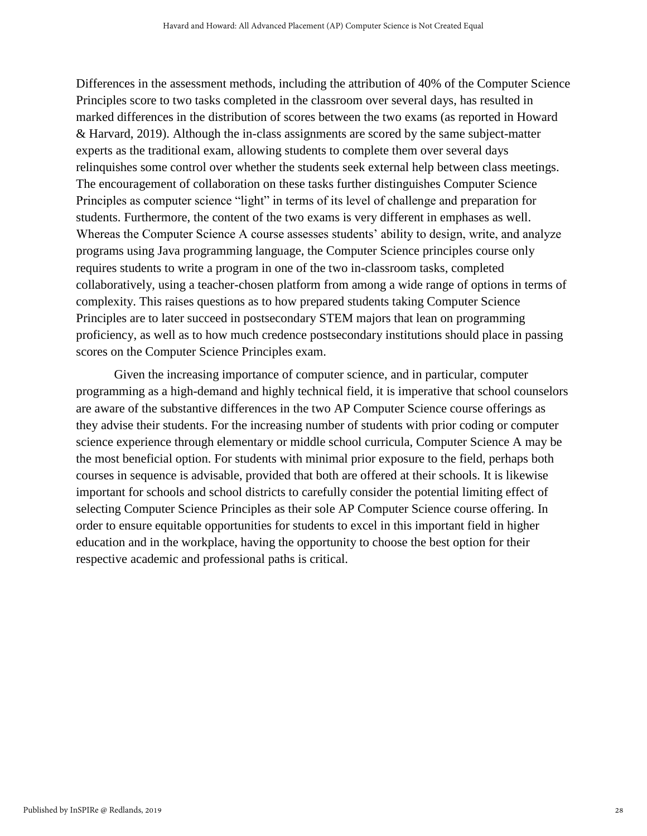Differences in the assessment methods, including the attribution of 40% of the Computer Science Principles score to two tasks completed in the classroom over several days, has resulted in marked differences in the distribution of scores between the two exams (as reported in Howard & Harvard, 2019). Although the in-class assignments are scored by the same subject-matter experts as the traditional exam, allowing students to complete them over several days relinquishes some control over whether the students seek external help between class meetings. The encouragement of collaboration on these tasks further distinguishes Computer Science Principles as computer science "light" in terms of its level of challenge and preparation for students. Furthermore, the content of the two exams is very different in emphases as well. Whereas the Computer Science A course assesses students' ability to design, write, and analyze programs using Java programming language, the Computer Science principles course only requires students to write a program in one of the two in-classroom tasks, completed collaboratively, using a teacher-chosen platform from among a wide range of options in terms of complexity. This raises questions as to how prepared students taking Computer Science Principles are to later succeed in postsecondary STEM majors that lean on programming proficiency, as well as to how much credence postsecondary institutions should place in passing scores on the Computer Science Principles exam.

Given the increasing importance of computer science, and in particular, computer programming as a high-demand and highly technical field, it is imperative that school counselors are aware of the substantive differences in the two AP Computer Science course offerings as they advise their students. For the increasing number of students with prior coding or computer science experience through elementary or middle school curricula, Computer Science A may be the most beneficial option. For students with minimal prior exposure to the field, perhaps both courses in sequence is advisable, provided that both are offered at their schools. It is likewise important for schools and school districts to carefully consider the potential limiting effect of selecting Computer Science Principles as their sole AP Computer Science course offering. In order to ensure equitable opportunities for students to excel in this important field in higher education and in the workplace, having the opportunity to choose the best option for their respective academic and professional paths is critical.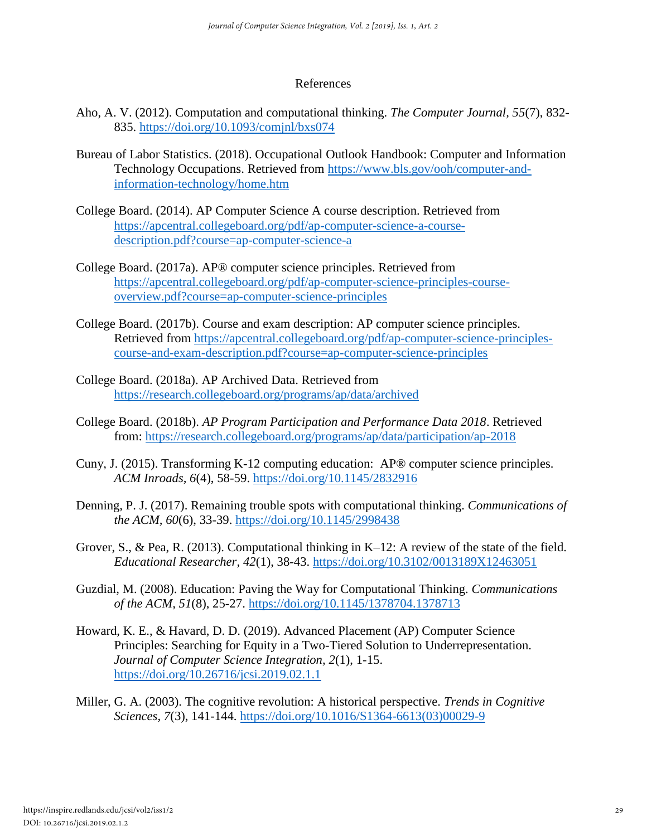#### References

- Aho, A. V. (2012). Computation and computational thinking. *The Computer Journal, 55*(7), 832- 835. https://doi.org/10.1093/comjnl/bxs074
- Bureau of Labor Statistics. (2018). Occupational Outlook Handbook: Computer and Information Technology Occupations. Retrieved from https://www.bls.gov/ooh/computer-andinformation-technology/home.htm
- College Board. (2014). AP Computer Science A course description. Retrieved from https://apcentral.collegeboard.org/pdf/ap-computer-science-a-coursedescription.pdf?course=ap-computer-science-a
- College Board. (2017a). AP® computer science principles. Retrieved from https://apcentral.collegeboard.org/pdf/ap-computer-science-principles-courseoverview.pdf?course=ap-computer-science-principles
- College Board. (2017b). Course and exam description: AP computer science principles. Retrieved from https://apcentral.collegeboard.org/pdf/ap-computer-science-principlescourse-and-exam-description.pdf?course=ap-computer-science-principles
- College Board. (2018a). AP Archived Data. Retrieved from https://research.collegeboard.org/programs/ap/data/archived
- College Board. (2018b). *AP Program Participation and Performance Data 2018*. Retrieved from: https://research.collegeboard.org/programs/ap/data/participation/ap-2018
- Cuny, J. (2015). Transforming K-12 computing education: AP® computer science principles. *ACM Inroads, 6*(4), 58-59. https://doi.org/10.1145/2832916
- Denning, P. J. (2017). Remaining trouble spots with computational thinking. *Communications of the ACM, 60*(6), 33-39. https://doi.org/10.1145/2998438
- Grover, S., & Pea, R. (2013). Computational thinking in K–12: A review of the state of the field. *Educational Researcher, 42*(1), 38-43. https://doi.org/10.3102/0013189X12463051
- Guzdial, M. (2008). Education: Paving the Way for Computational Thinking. *Communications of the ACM, 51*(8), 25-27. https://doi.org/10.1145/1378704.1378713
- Howard, K. E., & Havard, D. D. (2019). Advanced Placement (AP) Computer Science Principles: Searching for Equity in a Two-Tiered Solution to Underrepresentation. *Journal of Computer Science Integration, 2*(1), 1-15. https://doi.org/10.26716/jcsi.2019.02.1.1
- Miller, G. A. (2003). The cognitive revolution: A historical perspective. *Trends in Cognitive Sciences, 7*(3), 141-144. https://doi.org/10.1016/S1364-6613(03)00029-9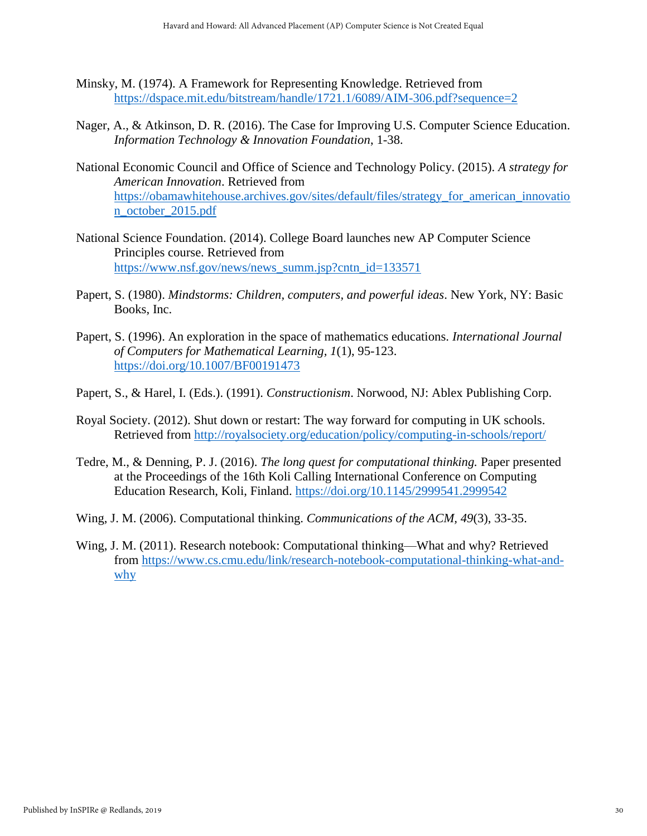- Minsky, M. (1974). A Framework for Representing Knowledge. Retrieved from https://dspace.mit.edu/bitstream/handle/1721.1/6089/AIM-306.pdf?sequence=2
- Nager, A., & Atkinson, D. R. (2016). The Case for Improving U.S. Computer Science Education. *Information Technology & Innovation Foundation*, 1-38.
- National Economic Council and Office of Science and Technology Policy. (2015). *A strategy for American Innovation*. Retrieved from https://obamawhitehouse.archives.gov/sites/default/files/strategy\_for\_american\_innovatio n\_october\_2015.pdf
- National Science Foundation. (2014). College Board launches new AP Computer Science Principles course. Retrieved from https://www.nsf.gov/news/news\_summ.jsp?cntn\_id=133571
- Papert, S. (1980). *Mindstorms: Children, computers, and powerful ideas*. New York, NY: Basic Books, Inc.
- Papert, S. (1996). An exploration in the space of mathematics educations. *International Journal of Computers for Mathematical Learning, 1*(1), 95-123. https://doi.org/10.1007/BF00191473
- Papert, S., & Harel, I. (Eds.). (1991). *Constructionism*. Norwood, NJ: Ablex Publishing Corp.
- Royal Society. (2012). Shut down or restart: The way forward for computing in UK schools. Retrieved from http://royalsociety.org/education/policy/computing-in-schools/report/
- Tedre, M., & Denning, P. J. (2016). *The long quest for computational thinking.* Paper presented at the Proceedings of the 16th Koli Calling International Conference on Computing Education Research, Koli, Finland. https://doi.org/10.1145/2999541.2999542
- Wing, J. M. (2006). Computational thinking. *Communications of the ACM, 49*(3), 33-35.
- Wing, J. M. (2011). Research notebook: Computational thinking—What and why? Retrieved from https://www.cs.cmu.edu/link/research-notebook-computational-thinking-what-andwhy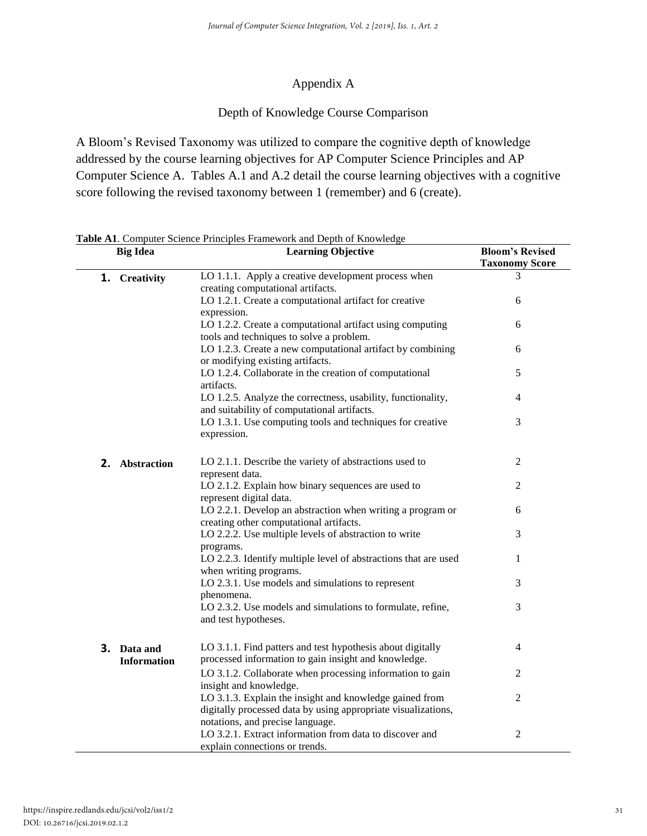# Appendix A

# Depth of Knowledge Course Comparison

A Bloom's Revised Taxonomy was utilized to compare the cognitive depth of knowledge addressed by the course learning objectives for AP Computer Science Principles and AP Computer Science A. Tables A.1 and A.2 detail the course learning objectives with a cognitive score following the revised taxonomy between 1 (remember) and 6 (create).

|    | <b>Big Idea</b>    | <b>Learning Objective</b>                                                                                   | <b>Bloom's Revised</b><br><b>Taxonomy Score</b> |
|----|--------------------|-------------------------------------------------------------------------------------------------------------|-------------------------------------------------|
|    | 1. Creativity      | LO 1.1.1. Apply a creative development process when<br>creating computational artifacts.                    | 3                                               |
|    |                    | LO 1.2.1. Create a computational artifact for creative                                                      | 6                                               |
|    |                    | expression.                                                                                                 |                                                 |
|    |                    | LO 1.2.2. Create a computational artifact using computing                                                   | 6                                               |
|    |                    | tools and techniques to solve a problem.                                                                    |                                                 |
|    |                    | LO 1.2.3. Create a new computational artifact by combining<br>or modifying existing artifacts.              | 6                                               |
|    |                    | LO 1.2.4. Collaborate in the creation of computational<br>artifacts.                                        | 5                                               |
|    |                    | LO 1.2.5. Analyze the correctness, usability, functionality,<br>and suitability of computational artifacts. | 4                                               |
|    |                    | LO 1.3.1. Use computing tools and techniques for creative<br>expression.                                    | 3                                               |
|    |                    |                                                                                                             |                                                 |
| 2. | Abstraction        | LO 2.1.1. Describe the variety of abstractions used to<br>represent data.                                   | 2                                               |
|    |                    | LO 2.1.2. Explain how binary sequences are used to                                                          | $\mathbf{2}$                                    |
|    |                    | represent digital data.                                                                                     |                                                 |
|    |                    | LO 2.2.1. Develop an abstraction when writing a program or<br>creating other computational artifacts.       | 6                                               |
|    |                    | LO 2.2.2. Use multiple levels of abstraction to write                                                       | 3                                               |
|    |                    | programs.                                                                                                   |                                                 |
|    |                    | LO 2.2.3. Identify multiple level of abstractions that are used                                             | 1                                               |
|    |                    | when writing programs.<br>LO 2.3.1. Use models and simulations to represent                                 | 3                                               |
|    |                    | phenomena.                                                                                                  |                                                 |
|    |                    | LO 2.3.2. Use models and simulations to formulate, refine,<br>and test hypotheses.                          | 3                                               |
|    |                    |                                                                                                             |                                                 |
| 3. | Data and           | LO 3.1.1. Find patters and test hypothesis about digitally                                                  | 4                                               |
|    | <b>Information</b> | processed information to gain insight and knowledge.                                                        |                                                 |
|    |                    | LO 3.1.2. Collaborate when processing information to gain<br>insight and knowledge.                         | 2                                               |
|    |                    | LO 3.1.3. Explain the insight and knowledge gained from                                                     | $\mathfrak{2}$                                  |
|    |                    | digitally processed data by using appropriate visualizations,                                               |                                                 |
|    |                    | notations, and precise language.<br>LO 3.2.1. Extract information from data to discover and                 | 2                                               |
|    |                    | explain connections or trends.                                                                              |                                                 |

**Table A1**. Computer Science Principles Framework and Depth of Knowledge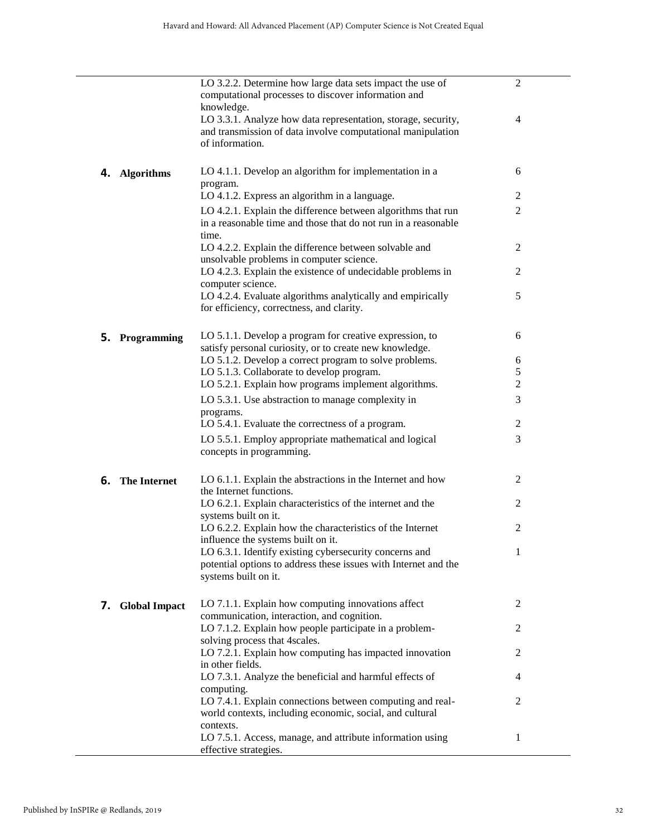|                            | LO 3.2.2. Determine how large data sets impact the use of<br>computational processes to discover information and<br>knowledge.                    | $\overline{c}$ |
|----------------------------|---------------------------------------------------------------------------------------------------------------------------------------------------|----------------|
|                            | LO 3.3.1. Analyze how data representation, storage, security,<br>and transmission of data involve computational manipulation<br>of information.   | 4              |
| <b>Algorithms</b><br>4.    | LO 4.1.1. Develop an algorithm for implementation in a<br>program.                                                                                | 6              |
|                            | LO 4.1.2. Express an algorithm in a language.                                                                                                     | 2              |
|                            | LO 4.2.1. Explain the difference between algorithms that run<br>in a reasonable time and those that do not run in a reasonable<br>time.           | $\mathfrak{2}$ |
|                            | LO 4.2.2. Explain the difference between solvable and<br>unsolvable problems in computer science.                                                 | 2              |
|                            | LO 4.2.3. Explain the existence of undecidable problems in<br>computer science.                                                                   | 2              |
|                            | LO 4.2.4. Evaluate algorithms analytically and empirically<br>for efficiency, correctness, and clarity.                                           | 5              |
| <b>5.</b> Programming      | LO 5.1.1. Develop a program for creative expression, to<br>satisfy personal curiosity, or to create new knowledge.                                | 6              |
|                            | LO 5.1.2. Develop a correct program to solve problems.                                                                                            | 6              |
|                            | LO 5.1.3. Collaborate to develop program.                                                                                                         | 5              |
|                            | LO 5.2.1. Explain how programs implement algorithms.                                                                                              | $\mathfrak{2}$ |
|                            | LO 5.3.1. Use abstraction to manage complexity in<br>programs.                                                                                    | 3              |
|                            | LO 5.4.1. Evaluate the correctness of a program.                                                                                                  | $\overline{c}$ |
|                            | LO 5.5.1. Employ appropriate mathematical and logical<br>concepts in programming.                                                                 | 3              |
| 6.<br><b>The Internet</b>  | LO 6.1.1. Explain the abstractions in the Internet and how<br>the Internet functions.                                                             | 2              |
|                            | LO 6.2.1. Explain characteristics of the internet and the<br>systems built on it.                                                                 | 2              |
|                            | LO 6.2.2. Explain how the characteristics of the Internet<br>influence the systems built on it.                                                   | $\overline{c}$ |
|                            | LO 6.3.1. Identify existing cybersecurity concerns and<br>potential options to address these issues with Internet and the<br>systems built on it. | $\mathbf{1}$   |
| <b>Global Impact</b><br>7. | LO 7.1.1. Explain how computing innovations affect<br>communication, interaction, and cognition.                                                  | $\overline{2}$ |
|                            | LO 7.1.2. Explain how people participate in a problem-<br>solving process that 4 scales.                                                          | $\overline{2}$ |
|                            | LO 7.2.1. Explain how computing has impacted innovation<br>in other fields.                                                                       | $\overline{2}$ |
|                            | LO 7.3.1. Analyze the beneficial and harmful effects of<br>computing.                                                                             | 4              |
|                            | LO 7.4.1. Explain connections between computing and real-<br>world contexts, including economic, social, and cultural<br>contexts.                | 2              |
|                            | LO 7.5.1. Access, manage, and attribute information using<br>effective strategies.                                                                | 1              |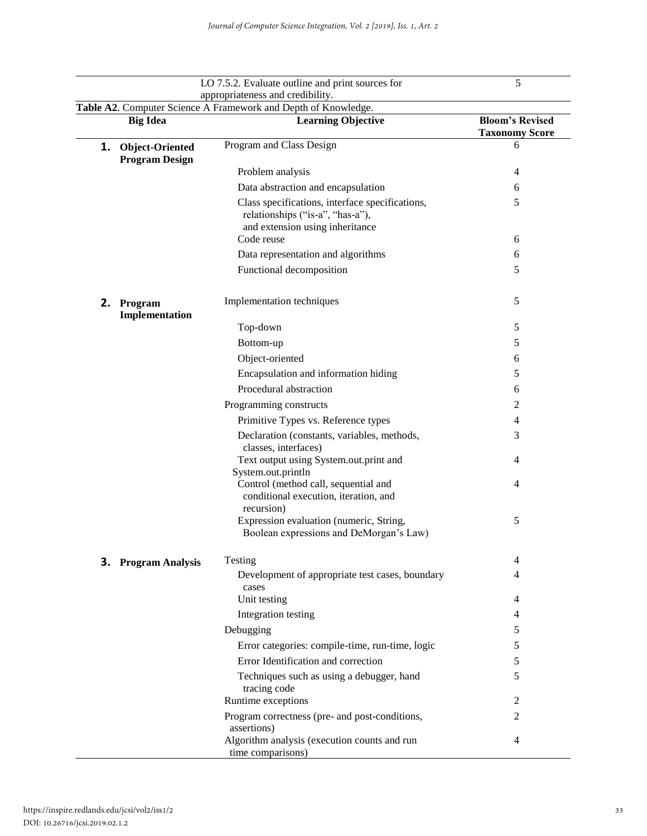|                                                                |                                                 | LO 7.5.2. Evaluate outline and print sources for                                                                       | 5                                               |  |  |  |
|----------------------------------------------------------------|-------------------------------------------------|------------------------------------------------------------------------------------------------------------------------|-------------------------------------------------|--|--|--|
|                                                                |                                                 | appropriateness and credibility.                                                                                       |                                                 |  |  |  |
| Table A2. Computer Science A Framework and Depth of Knowledge. |                                                 |                                                                                                                        |                                                 |  |  |  |
|                                                                | <b>Big Idea</b>                                 | <b>Learning Objective</b>                                                                                              | <b>Bloom's Revised</b><br><b>Taxonomy Score</b> |  |  |  |
| 1.                                                             | <b>Object-Oriented</b><br><b>Program Design</b> | Program and Class Design                                                                                               | 6                                               |  |  |  |
|                                                                |                                                 | Problem analysis                                                                                                       | 4                                               |  |  |  |
|                                                                |                                                 | Data abstraction and encapsulation                                                                                     | 6                                               |  |  |  |
|                                                                |                                                 | Class specifications, interface specifications,<br>relationships ("is-a", "has-a"),<br>and extension using inheritance | 5                                               |  |  |  |
|                                                                |                                                 | Code reuse                                                                                                             | 6                                               |  |  |  |
|                                                                |                                                 | Data representation and algorithms                                                                                     | 6                                               |  |  |  |
|                                                                |                                                 | Functional decomposition                                                                                               | 5                                               |  |  |  |
| 2.                                                             | Program<br>Implementation                       | Implementation techniques                                                                                              | 5                                               |  |  |  |
|                                                                |                                                 | Top-down                                                                                                               | 5                                               |  |  |  |
|                                                                |                                                 | Bottom-up                                                                                                              | 5                                               |  |  |  |
|                                                                |                                                 | Object-oriented                                                                                                        | 6                                               |  |  |  |
|                                                                |                                                 | Encapsulation and information hiding                                                                                   | 5                                               |  |  |  |
|                                                                |                                                 | Procedural abstraction                                                                                                 | 6                                               |  |  |  |
|                                                                |                                                 | Programming constructs                                                                                                 | 2                                               |  |  |  |
|                                                                |                                                 | Primitive Types vs. Reference types                                                                                    | 4                                               |  |  |  |
|                                                                |                                                 | Declaration (constants, variables, methods,<br>classes, interfaces)                                                    | 3                                               |  |  |  |
|                                                                |                                                 | Text output using System.out.print and<br>System.out.println                                                           | 4                                               |  |  |  |
|                                                                |                                                 | Control (method call, sequential and<br>conditional execution, iteration, and<br>recursion)                            | $\overline{4}$                                  |  |  |  |
|                                                                |                                                 | Expression evaluation (numeric, String,<br>Boolean expressions and DeMorgan's Law)                                     | 5                                               |  |  |  |
|                                                                | <b>3.</b> Program Analysis                      | Testing                                                                                                                | 4                                               |  |  |  |
|                                                                |                                                 | Development of appropriate test cases, boundary<br>cases                                                               | 4                                               |  |  |  |
|                                                                |                                                 | Unit testing                                                                                                           | 4                                               |  |  |  |
|                                                                |                                                 | Integration testing                                                                                                    | 4                                               |  |  |  |
|                                                                |                                                 | Debugging                                                                                                              | 5                                               |  |  |  |
|                                                                |                                                 | Error categories: compile-time, run-time, logic                                                                        | 5                                               |  |  |  |
|                                                                |                                                 | Error Identification and correction                                                                                    | 5                                               |  |  |  |
|                                                                |                                                 | Techniques such as using a debugger, hand<br>tracing code                                                              | 5                                               |  |  |  |
|                                                                |                                                 | Runtime exceptions                                                                                                     | 2                                               |  |  |  |
|                                                                |                                                 | Program correctness (pre- and post-conditions,<br>assertions)                                                          | 2                                               |  |  |  |
|                                                                |                                                 | Algorithm analysis (execution counts and run<br>time comparisons)                                                      | 4                                               |  |  |  |